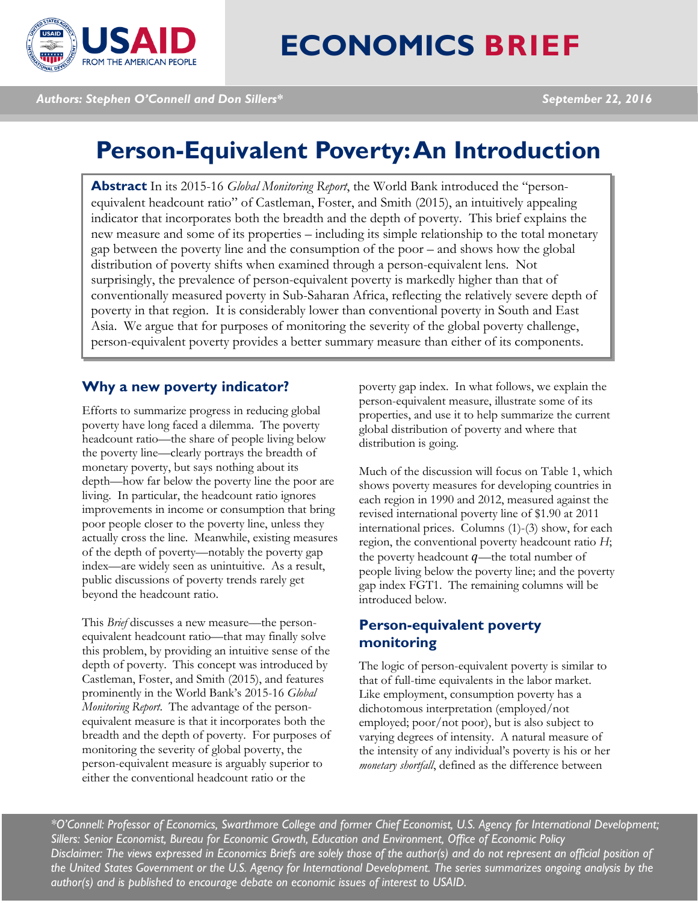

# **ECONOMICS BRIEF**

*Authors: Stephen O'Connell and Don Sillers\* September 22, 2016*

# **Person-Equivalent Poverty: An Introduction**

**Abstract** In its 2015-16 *Global Monitoring Report*, the World Bank introduced the "personequivalent headcount ratio" of Castleman, Foster, and Smith (2015), an intuitively appealing indicator that incorporates both the breadth and the depth of poverty. This brief explains the new measure and some of its properties – including its simple relationship to the total monetary gap between the poverty line and the consumption of the poor – and shows how the global distribution of poverty shifts when examined through a person-equivalent lens. Not surprisingly, the prevalence of person-equivalent poverty is markedly higher than that of conventionally measured poverty in Sub-Saharan Africa, reflecting the relatively severe depth of poverty in that region. It is considerably lower than conventional poverty in South and East Asia. We argue that for purposes of monitoring the severity of the global poverty challenge, person-equivalent poverty provides a better summary measure than either of its components.

#### **Why a new poverty indicator?**

Efforts to summarize progress in reducing global poverty have long faced a dilemma. The poverty headcount ratio—the share of people living below the poverty line—clearly portrays the breadth of monetary poverty, but says nothing about its depth—how far below the poverty line the poor are living. In particular, the headcount ratio ignores improvements in income or consumption that bring poor people closer to the poverty line, unless they actually cross the line. Meanwhile, existing measures of the depth of poverty—notably the poverty gap index—are widely seen as unintuitive. As a result, public discussions of poverty trends rarely get beyond the headcount ratio.

This *Brief* discusses a new measure—the personequivalent headcount ratio—that may finally solve this problem, by providing an intuitive sense of the depth of poverty. This concept was introduced by Castleman, Foster, and Smith (2015), and features prominently in the World Bank's 2015-16 *Global Monitoring Report*. The advantage of the personequivalent measure is that it incorporates both the breadth and the depth of poverty. For purposes of monitoring the severity of global poverty, the person-equivalent measure is arguably superior to either the conventional headcount ratio or the

poverty gap index. In what follows, we explain the person-equivalent measure, illustrate some of its properties, and use it to help summarize the current global distribution of poverty and where that distribution is going.

Much of the discussion will focus on Table 1, which shows poverty measures for developing countries in each region in 1990 and 2012, measured against the revised international poverty line of \$1.90 at 2011 international prices. Columns (1)-(3) show, for each region, the conventional poverty headcount ratio *H*; the poverty headcount  $q$ —the total number of people living below the poverty line; and the poverty gap index FGT1. The remaining columns will be introduced below.

# **Person-equivalent poverty monitoring**

The logic of person-equivalent poverty is similar to that of full-time equivalents in the labor market. Like employment, consumption poverty has a dichotomous interpretation (employed/not employed; poor/not poor), but is also subject to varying degrees of intensity. A natural measure of the intensity of any individual's poverty is his or her *monetary shortfall*, defined as the difference between

*\*O'Connell: Professor of Economics, Swarthmore College and former Chief Economist, U.S. Agency for International Development; Sillers: Senior Economist, Bureau for Economic Growth, Education and Environment, Office of Economic Policy Disclaimer: The views expressed in Economics Briefs are solely those of the author(s) and do not represent an official position of the United States Government or the U.S. Agency for International Development. The series summarizes ongoing analysis by the author(s) and is published to encourage debate on economic issues of interest to USAID.*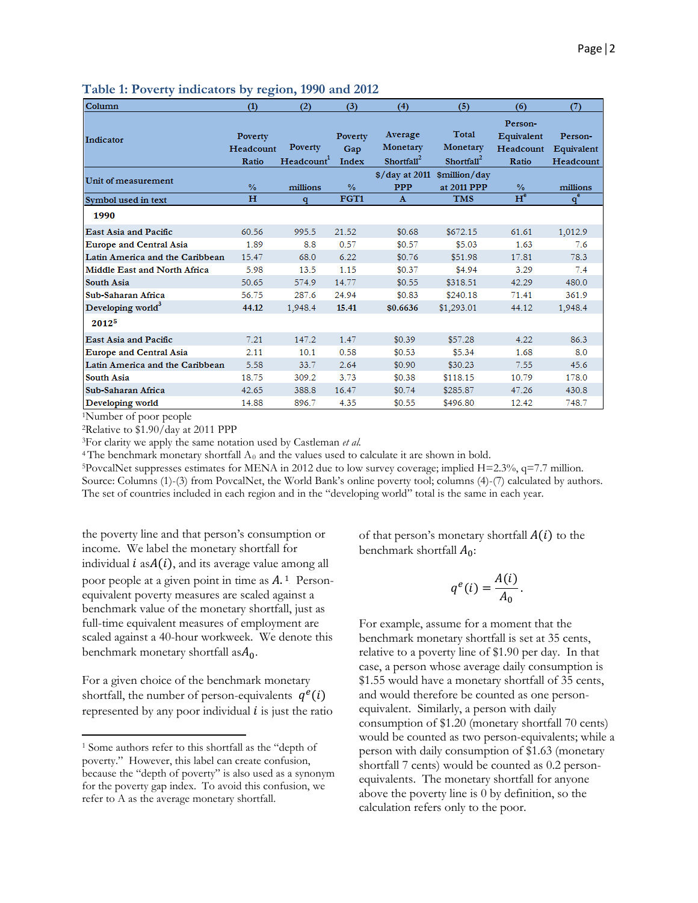| Column                              | (1)           | (2)                    | (3)           | (4)                                | (5)                    | (6)                   | (7)        |
|-------------------------------------|---------------|------------------------|---------------|------------------------------------|------------------------|-----------------------|------------|
| Indicator                           | Poverty       |                        | Poverty       | Average                            | Total                  | Person-<br>Equivalent | Person-    |
|                                     | Headcount     | Poverty                | Gap           | Monetary                           | Monetary               | Headcount             | Equivalent |
|                                     | Ratio         | Headcount <sup>1</sup> | Index         | Shortfall <sup>2</sup>             | Shortfall <sup>2</sup> | Ratio                 | Headcount  |
| Unit of measurement                 |               |                        |               | $\frac{\sqrt{3}}{2}$ s/day at 2011 | \$million/day          |                       |            |
|                                     | $\frac{0}{6}$ | millions               | $\frac{9}{6}$ | <b>PPP</b>                         | at 2011 PPP            | $\frac{9}{6}$         | millions   |
| Symbol used in text                 | H             | q                      | FGT1          | $\Lambda$                          | TMS                    | $H^e$                 | $q^e$      |
| 1990                                |               |                        |               |                                    |                        |                       |            |
| <b>East Asia and Pacific</b>        | 60.56         | 995.5                  | 21.52         | \$0.68                             | \$672.15               | 61.61                 | 1,012.9    |
| <b>Europe and Central Asia</b>      | 1.89          | 8.8                    | 0.57          | \$0.57                             | \$5.03                 | 1.63                  | 7.6        |
| Latin America and the Caribbean     | 15.47         | 68.0                   | 6.22          | \$0.76                             | \$51.98                | 17.81                 | 78.3       |
| <b>Middle East and North Africa</b> | 5.98          | 13.5                   | 1.15          | \$0.37                             | \$4.94                 | 3.29                  | 7.4        |
| <b>South Asia</b>                   | 50.65         | 574.9                  | 14.77         | \$0.55                             | \$318.51               | 42.29                 | 480.0      |
| Sub-Saharan Africa                  | 56.75         | 287.6                  | 24.94         | \$0.83                             | \$240.18               | 71.41                 | 361.9      |
| Developing world <sup>3</sup>       | 44.12         | 1,948.4                | 15.41         | \$0.6636                           | \$1,293.01             | 44.12                 | 1,948.4    |
| 20125                               |               |                        |               |                                    |                        |                       |            |
| <b>East Asia and Pacific</b>        | 7.21          | 147.2                  | 1.47          | \$0.39                             | \$57.28                | 4.22                  | 86.3       |
| <b>Europe and Central Asia</b>      | 2.11          | 10.1                   | 0.58          | \$0.53                             | \$5.34                 | 1.68                  | 8.0        |
| Latin America and the Caribbean     | 5.58          | 33.7                   | 2.64          | \$0.90                             | \$30.23                | 7.55                  | 45.6       |
| <b>South Asia</b>                   | 18.75         | 309.2                  | 3.73          | \$0.38                             | \$118.15               | 10.79                 | 178.0      |
| Sub-Saharan Africa                  | 42.65         | 388.8                  | 16.47         | \$0.74                             | \$285.87               | 47.26                 | 430.8      |
| Developing world                    | 14.88         | 896.7                  | 4.35          | \$0.55                             | \$496.80               | 12.42                 | 748.7      |

**Table 1: Poverty indicators by region, 1990 and 2012**

1Number of poor people

 $\overline{\phantom{a}}$ 

2Relative to \$1.90/day at 2011 PPP

3For clarity we apply the same notation used by Castleman *et al.*

<sup>4</sup> The benchmark monetary shortfall  $A_0$  and the values used to calculate it are shown in bold.

<sup>5</sup>PovcalNet suppresses estimates for MENA in 2012 due to low survey coverage; implied H=2.3%, q=7.7 million. Source: Columns (1)-(3) from PovcalNet, the World Bank's online poverty tool; columns (4)-(7) calculated by authors. The set of countries included in each region and in the "developing world" total is the same in each year.

the poverty line and that person's consumption or income. We label the monetary shortfall for individual  $i$  as $A(i)$ , and its average value among all poor people at a given point in time as  $A<sup>1</sup>$  Personequivalent poverty measures are scaled against a benchmark value of the monetary shortfall, just as full-time equivalent measures of employment are scaled against a 40-hour workweek. We denote this benchmark monetary shortfall as $A_0$ .

For a given choice of the benchmark monetary shortfall, the number of person-equivalents  $q^{e}(i)$ represented by any poor individual  $i$  is just the ratio of that person's monetary shortfall  $A(i)$  to the benchmark shortfall  $A_0$ :

$$
q^e(i) = \frac{A(i)}{A_0}.
$$

For example, assume for a moment that the benchmark monetary shortfall is set at 35 cents, relative to a poverty line of \$1.90 per day. In that case, a person whose average daily consumption is \$1.55 would have a monetary shortfall of 35 cents, and would therefore be counted as one personequivalent. Similarly, a person with daily consumption of \$1.20 (monetary shortfall 70 cents) would be counted as two person-equivalents; while a person with daily consumption of \$1.63 (monetary shortfall 7 cents) would be counted as 0.2 personequivalents. The monetary shortfall for anyone above the poverty line is 0 by definition, so the calculation refers only to the poor.

<sup>1</sup> Some authors refer to this shortfall as the "depth of poverty." However, this label can create confusion, because the "depth of poverty" is also used as a synonym for the poverty gap index. To avoid this confusion, we refer to A as the average monetary shortfall.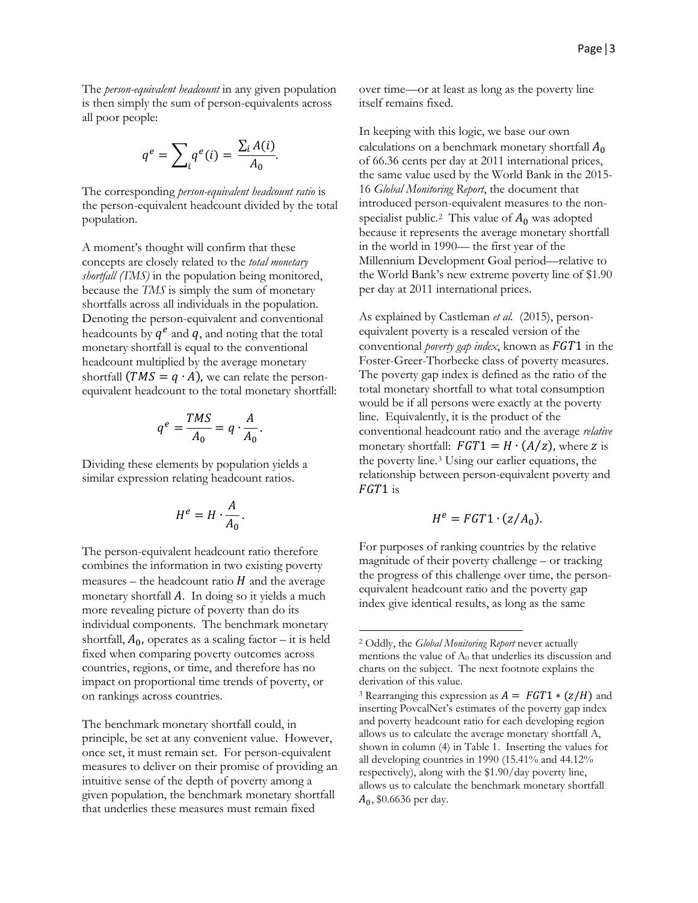The *person-equivalent headcount* in any given population is then simply the sum of person-equivalents across all poor people:

$$
q^e = \sum_i q^e(i) = \frac{\sum_i A(i)}{A_0}.
$$

The corresponding *person-equivalent headcount ratio* is the person-equivalent headcount divided by the total population.

A moment's thought will confirm that these concepts are closely related to the *total monetary shortfall (TMS)* in the population being monitored, because the *TMS* is simply the sum of monetary shortfalls across all individuals in the population. Denoting the person-equivalent and conventional headcounts by  $q^e$  and  $q$ , and noting that the total monetary shortfall is equal to the conventional headcount multiplied by the average monetary shortfall  $(TMS = q \cdot A)$ , we can relate the personequivalent headcount to the total monetary shortfall:

$$
q^e = \frac{TMS}{A_0} = q \cdot \frac{A}{A_0}.
$$

Dividing these elements by population yields a similar expression relating headcount ratios.

$$
H^e = H \cdot \frac{A}{A_0}.
$$

The person-equivalent headcount ratio therefore combines the information in two existing poverty measures – the headcount ratio  $H$  and the average monetary shortfall  $A$ . In doing so it yields a much more revealing picture of poverty than do its individual components. The benchmark monetary shortfall,  $A_0$ , operates as a scaling factor – it is held fixed when comparing poverty outcomes across countries, regions, or time, and therefore has no impact on proportional time trends of poverty, or on rankings across countries.

<span id="page-2-1"></span><span id="page-2-0"></span>The benchmark monetary shortfall could, in principle, be set at any convenient value. However, once set, it must remain set. For person-equivalent measures to deliver on their promise of providing an intuitive sense of the depth of poverty among a given population, the benchmark monetary shortfall that underlies these measures must remain fixed

over time—or at least as long as the poverty line itself remains fixed.

In keeping with this logic, we base our own calculations on a benchmark monetary shortfall  $A_0$ of 66.36 cents per day at 2011 international prices, the same value used by the World Bank in the 2015- 16 *Global Monitoring Report*, the document that introduced person-equivalent measures to the non-specialist public.<sup>[2](#page-2-0)</sup> This value of  $A_0$  was adopted because it represents the average monetary shortfall in the world in 1990— the first year of the Millennium Development Goal period—relative to the World Bank's new extreme poverty line of \$1.90 per day at 2011 international prices.

As explained by Castleman et al. (2015), personequivalent poverty is a rescaled version of the conventional *poverty gap index*, known as  $FGT1$  in the Foster-Greer-Thorbecke class of poverty measures. The poverty gap index is defined as the ratio of the total monetary shortfall to what total consumption would be if all persons were exactly at the poverty line. Equivalently, it is the product of the conventional headcount ratio and the average *relative*  monetary shortfall:  $FGT1 = H \cdot (A/z)$ , where z is the poverty line.[3](#page-2-1) Using our earlier equations, the relationship between person-equivalent poverty and  $FGT1$  is

$$
H^e = FGT1 \cdot (z/A_0).
$$

For purposes of ranking countries by the relative magnitude of their poverty challenge – or tracking the progress of this challenge over time, the personequivalent headcount ratio and the poverty gap index give identical results, as long as the same

l

<sup>2</sup> Oddly, the *Global Monitoring Report* never actually mentions the value of  $A_0$  that underlies its discussion and charts on the subject. The next footnote explains the derivation of this value.

<sup>&</sup>lt;sup>3</sup> Rearranging this expression as  $A = FGT1 * (z/H)$  and inserting PovcalNet's estimates of the poverty gap index and poverty headcount ratio for each developing region allows us to calculate the average monetary shortfall A, shown in column (4) in Table 1. Inserting the values for all developing countries in 1990 (15.41% and 44.12% respectively), along with the \$1.90/day poverty line, allows us to calculate the benchmark monetary shortfall  $A_0$ , \$0.6636 per day.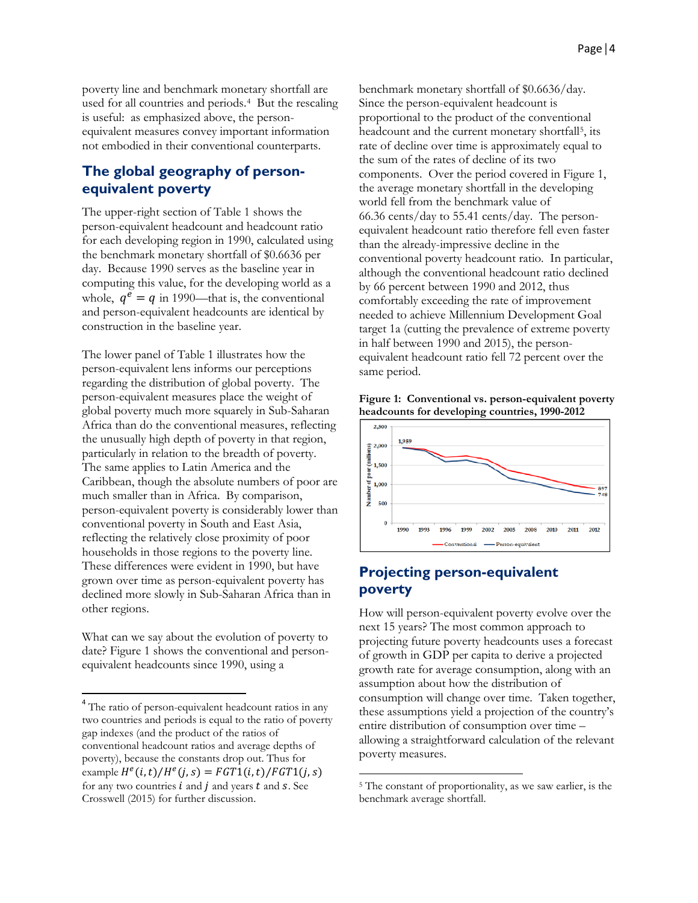poverty line and benchmark monetary shortfall are used for all countries and periods.[4](#page-3-0) But the rescaling is useful: as emphasized above, the personequivalent measures convey important information not embodied in their conventional counterparts.

#### **The global geography of personequivalent poverty**

The upper-right section of Table 1 shows the person-equivalent headcount and headcount ratio for each developing region in 1990, calculated using the benchmark monetary shortfall of \$0.6636 per day. Because 1990 serves as the baseline year in computing this value, for the developing world as a whole,  $q^e = q$  in 1990—that is, the conventional and person-equivalent headcounts are identical by construction in the baseline year.

The lower panel of Table 1 illustrates how the person-equivalent lens informs our perceptions regarding the distribution of global poverty. The person-equivalent measures place the weight of global poverty much more squarely in Sub-Saharan Africa than do the conventional measures, reflecting the unusually high depth of poverty in that region, particularly in relation to the breadth of poverty. The same applies to Latin America and the Caribbean, though the absolute numbers of poor are much smaller than in Africa. By comparison, person-equivalent poverty is considerably lower than conventional poverty in South and East Asia, reflecting the relatively close proximity of poor households in those regions to the poverty line. These differences were evident in 1990, but have grown over time as person-equivalent poverty has declined more slowly in Sub-Saharan Africa than in other regions.

What can we say about the evolution of poverty to date? Figure 1 shows the conventional and personequivalent headcounts since 1990, using a

benchmark monetary shortfall of \$0.6636/day. Since the person-equivalent headcount is proportional to the product of the conventional headcount and the current monetary shortfall<sup>[5](#page-3-1)</sup>, its rate of decline over time is approximately equal to the sum of the rates of decline of its two components. Over the period covered in Figure 1, the average monetary shortfall in the developing world fell from the benchmark value of 66.36 cents/day to 55.41 cents/day. The personequivalent headcount ratio therefore fell even faster than the already-impressive decline in the conventional poverty headcount ratio. In particular, although the conventional headcount ratio declined by 66 percent between 1990 and 2012, thus comfortably exceeding the rate of improvement needed to achieve Millennium Development Goal target 1a (cutting the prevalence of extreme poverty in half between 1990 and 2015), the personequivalent headcount ratio fell 72 percent over the same period.

**Figure 1: Conventional vs. person-equivalent poverty headcounts for developing countries, 1990-2012**



# **Projecting person-equivalent poverty**

How will person-equivalent poverty evolve over the next 15 years? The most common approach to projecting future poverty headcounts uses a forecast of growth in GDP per capita to derive a projected growth rate for average consumption, along with an assumption about how the distribution of consumption will change over time. Taken together, these assumptions yield a projection of the country's entire distribution of consumption over time – allowing a straightforward calculation of the relevant poverty measures.

l

<span id="page-3-1"></span><span id="page-3-0"></span> <sup>4</sup> The ratio of person-equivalent headcount ratios in any two countries and periods is equal to the ratio of poverty gap indexes (and the product of the ratios of conventional headcount ratios and average depths of poverty), because the constants drop out. Thus for example  $H^e(i, t) / H^e(j, s) = FGT1(i, t) / FGT1(j, s)$ for any two countries  $i$  and  $j$  and years  $t$  and  $s$ . See Crosswell (2015) for further discussion.

<sup>5</sup> The constant of proportionality, as we saw earlier, is the benchmark average shortfall.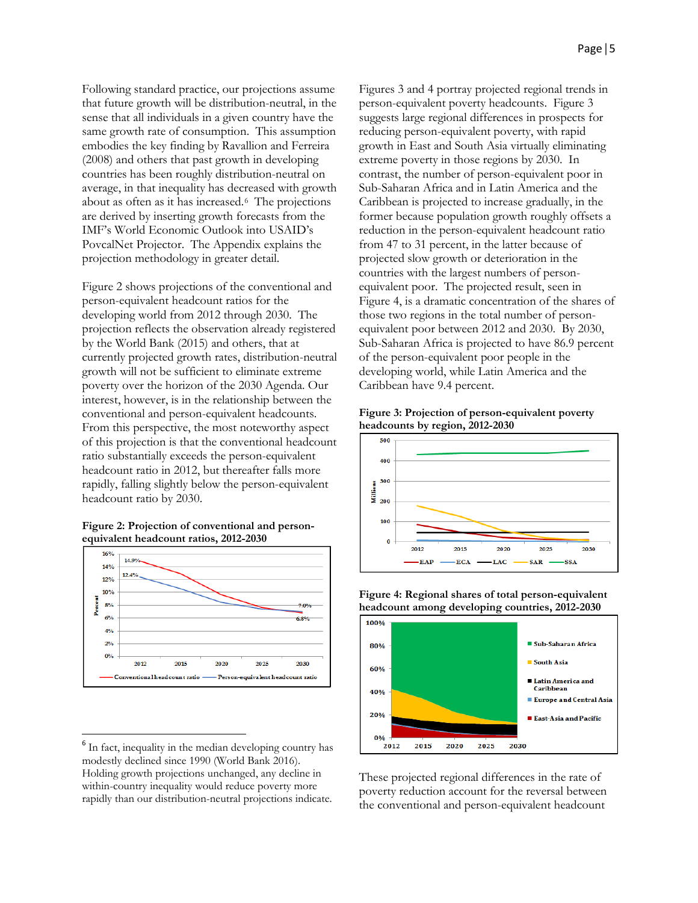Following standard practice, our projections assume that future growth will be distribution-neutral, in the sense that all individuals in a given country have the same growth rate of consumption. This assumption embodies the key finding by Ravallion and Ferreira (2008) and others that past growth in developing countries has been roughly distribution-neutral on average, in that inequality has decreased with growth about as often as it has increased.[6](#page-4-0) The projections are derived by inserting growth forecasts from the IMF's World Economic Outlook into USAID's PovcalNet Projector. The Appendix explains the projection methodology in greater detail.

Figure 2 shows projections of the conventional and person-equivalent headcount ratios for the developing world from 2012 through 2030. The projection reflects the observation already registered by the World Bank (2015) and others, that at currently projected growth rates, distribution-neutral growth will not be sufficient to eliminate extreme poverty over the horizon of the 2030 Agenda. Our interest, however, is in the relationship between the conventional and person-equivalent headcounts. From this perspective, the most noteworthy aspect of this projection is that the conventional headcount ratio substantially exceeds the person-equivalent headcount ratio in 2012, but thereafter falls more rapidly, falling slightly below the person-equivalent headcount ratio by 2030.





Figures 3 and 4 portray projected regional trends in person-equivalent poverty headcounts. Figure 3 suggests large regional differences in prospects for reducing person-equivalent poverty, with rapid growth in East and South Asia virtually eliminating extreme poverty in those regions by 2030. In contrast, the number of person-equivalent poor in Sub-Saharan Africa and in Latin America and the Caribbean is projected to increase gradually, in the former because population growth roughly offsets a reduction in the person-equivalent headcount ratio from 47 to 31 percent, in the latter because of projected slow growth or deterioration in the countries with the largest numbers of personequivalent poor. The projected result, seen in Figure 4, is a dramatic concentration of the shares of those two regions in the total number of personequivalent poor between 2012 and 2030. By 2030, Sub-Saharan Africa is projected to have 86.9 percent of the person-equivalent poor people in the developing world, while Latin America and the Caribbean have 9.4 percent.

**Figure 3: Projection of person-equivalent poverty headcounts by region, 2012-2030**



**Figure 4: Regional shares of total person-equivalent headcount among developing countries, 2012-2030**



These projected regional differences in the rate of poverty reduction account for the reversal between the conventional and person-equivalent headcount

<span id="page-4-0"></span><sup>&</sup>lt;sup>6</sup> In fact, inequality in the median developing country has modestly declined since 1990 (World Bank 2016). Holding growth projections unchanged, any decline in within-country inequality would reduce poverty more rapidly than our distribution-neutral projections indicate.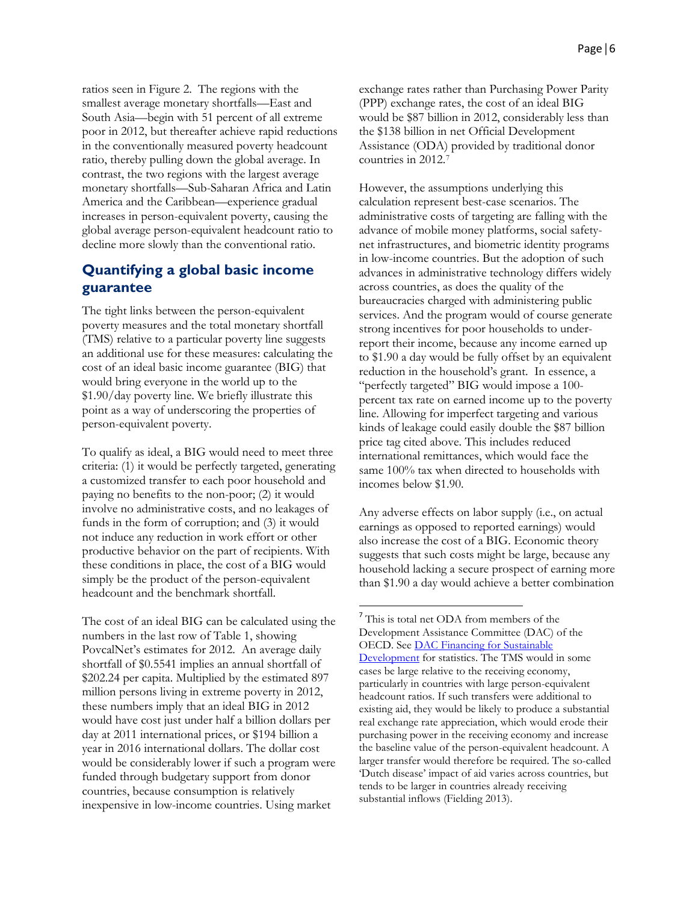ratios seen in Figure 2. The regions with the smallest average monetary shortfalls—East and South Asia—begin with 51 percent of all extreme poor in 2012, but thereafter achieve rapid reductions in the conventionally measured poverty headcount ratio, thereby pulling down the global average. In contrast, the two regions with the largest average monetary shortfalls—Sub-Saharan Africa and Latin America and the Caribbean—experience gradual increases in person-equivalent poverty, causing the global average person-equivalent headcount ratio to decline more slowly than the conventional ratio.

# **Quantifying a global basic income guarantee**

The tight links between the person-equivalent poverty measures and the total monetary shortfall (TMS) relative to a particular poverty line suggests an additional use for these measures: calculating the cost of an ideal basic income guarantee (BIG) that would bring everyone in the world up to the \$1.90/day poverty line. We briefly illustrate this point as a way of underscoring the properties of person-equivalent poverty.

To qualify as ideal, a BIG would need to meet three criteria: (1) it would be perfectly targeted, generating a customized transfer to each poor household and paying no benefits to the non-poor; (2) it would involve no administrative costs, and no leakages of funds in the form of corruption; and (3) it would not induce any reduction in work effort or other productive behavior on the part of recipients. With these conditions in place, the cost of a BIG would simply be the product of the person-equivalent headcount and the benchmark shortfall.

<span id="page-5-0"></span>The cost of an ideal BIG can be calculated using the numbers in the last row of Table 1, showing PovcalNet's estimates for 2012. An average daily shortfall of \$0.5541 implies an annual shortfall of \$202.24 per capita. Multiplied by the estimated 897 million persons living in extreme poverty in 2012, these numbers imply that an ideal BIG in 2012 would have cost just under half a billion dollars per day at 2011 international prices, or \$194 billion a year in 2016 international dollars. The dollar cost would be considerably lower if such a program were funded through budgetary support from donor countries, because consumption is relatively inexpensive in low-income countries. Using market

exchange rates rather than Purchasing Power Parity (PPP) exchange rates, the cost of an ideal BIG would be \$87 billion in 2012, considerably less than the \$138 billion in net Official Development Assistance (ODA) provided by traditional donor countries in 2012.[7](#page-5-0)

However, the assumptions underlying this calculation represent best-case scenarios. The administrative costs of targeting are falling with the advance of mobile money platforms, social safetynet infrastructures, and biometric identity programs in low-income countries. But the adoption of such advances in administrative technology differs widely across countries, as does the quality of the bureaucracies charged with administering public services. And the program would of course generate strong incentives for poor households to underreport their income, because any income earned up to \$1.90 a day would be fully offset by an equivalent reduction in the household's grant. In essence, a "perfectly targeted" BIG would impose a 100 percent tax rate on earned income up to the poverty line. Allowing for imperfect targeting and various kinds of leakage could easily double the \$87 billion price tag cited above. This includes reduced international remittances, which would face the same 100% tax when directed to households with incomes below \$1.90.

Any adverse effects on labor supply (i.e., on actual earnings as opposed to reported earnings) would also increase the cost of a BIG. Economic theory suggests that such costs might be large, because any household lacking a secure prospect of earning more than \$1.90 a day would achieve a better combination

<sup>&</sup>lt;sup>7</sup> This is total net ODA from members of the Development Assistance Committee (DAC) of the OECD. Se[e DAC Financing for Sustainable](http://www.oecd.org/dac/financing-sustainable-development/)  [Development](http://www.oecd.org/dac/financing-sustainable-development/) for statistics. The TMS would in some cases be large relative to the receiving economy, particularly in countries with large person-equivalent headcount ratios. If such transfers were additional to existing aid, they would be likely to produce a substantial real exchange rate appreciation, which would erode their purchasing power in the receiving economy and increase the baseline value of the person-equivalent headcount. A larger transfer would therefore be required. The so-called 'Dutch disease' impact of aid varies across countries, but tends to be larger in countries already receiving substantial inflows (Fielding 2013).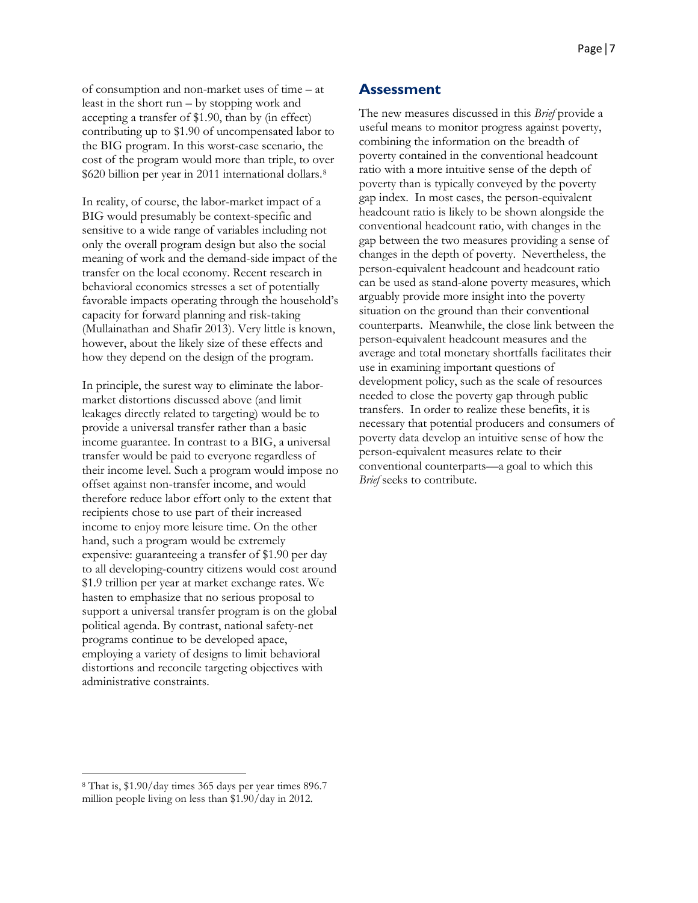of consumption and non-market uses of time – at least in the short run – by stopping work and accepting a transfer of \$1.90, than by (in effect) contributing up to \$1.90 of uncompensated labor to the BIG program. In this worst-case scenario, the cost of the program would more than triple, to over \$620 billion per year in 2011 international dollars.[8](#page-6-0)

In reality, of course, the labor-market impact of a BIG would presumably be context-specific and sensitive to a wide range of variables including not only the overall program design but also the social meaning of work and the demand-side impact of the transfer on the local economy. Recent research in behavioral economics stresses a set of potentially favorable impacts operating through the household's capacity for forward planning and risk-taking (Mullainathan and Shafir 2013). Very little is known, however, about the likely size of these effects and how they depend on the design of the program.

In principle, the surest way to eliminate the labormarket distortions discussed above (and limit leakages directly related to targeting) would be to provide a universal transfer rather than a basic income guarantee. In contrast to a BIG, a universal transfer would be paid to everyone regardless of their income level. Such a program would impose no offset against non-transfer income, and would therefore reduce labor effort only to the extent that recipients chose to use part of their increased income to enjoy more leisure time. On the other hand, such a program would be extremely expensive: guaranteeing a transfer of \$1.90 per day to all developing-country citizens would cost around \$1.9 trillion per year at market exchange rates. We hasten to emphasize that no serious proposal to support a universal transfer program is on the global political agenda. By contrast, national safety-net programs continue to be developed apace, employing a variety of designs to limit behavioral distortions and reconcile targeting objectives with administrative constraints.

#### **Assessment**

The new measures discussed in this *Brief* provide a useful means to monitor progress against poverty, combining the information on the breadth of poverty contained in the conventional headcount ratio with a more intuitive sense of the depth of poverty than is typically conveyed by the poverty gap index. In most cases, the person-equivalent headcount ratio is likely to be shown alongside the conventional headcount ratio, with changes in the gap between the two measures providing a sense of changes in the depth of poverty. Nevertheless, the person-equivalent headcount and headcount ratio can be used as stand-alone poverty measures, which arguably provide more insight into the poverty situation on the ground than their conventional counterparts. Meanwhile, the close link between the person-equivalent headcount measures and the average and total monetary shortfalls facilitates their use in examining important questions of development policy, such as the scale of resources needed to close the poverty gap through public transfers. In order to realize these benefits, it is necessary that potential producers and consumers of poverty data develop an intuitive sense of how the person-equivalent measures relate to their conventional counterparts—a goal to which this *Brief* seeks to contribute.

l

<span id="page-6-0"></span><sup>8</sup> That is, \$1.90/day times 365 days per year times 896.7 million people living on less than \$1.90/day in 2012.